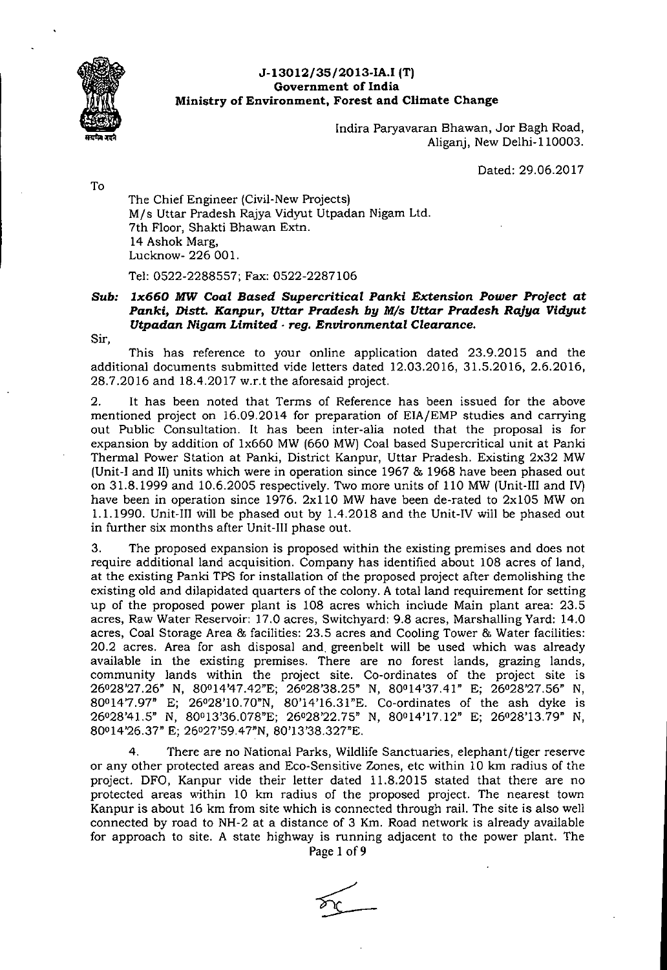

To

## **J-13012/35/2013-IAJ (T) Government of India 3 Ministry of Environment, Forest and Climate Change**

Indira Paryavaran Bhawan, Jor Bagh Road, Aliganj, New Delhi-110003.

Dated: 29.06.2017

The Chief Engineer (Civil-New Projects) M/s Uttar Pradesh Rajya Vidyut Utpadan Nigam Ltd. 7th Floor, Shakti Bhawan Extn. 14 Ashok Marg, Lucknow- 226 001.

Tel: 0522-2288557; Fax: 0522-2287 106

## *Sub: 1x660 MW Coal Based Supercritical Panki Extension Power Project at Panki, Distt. Kanpur, Uttar Pradesh by MIs Uttar Pradesh Rajya Vidynt Utpadan Nigam Limited - reg.* **Environmental** *Clearance.*

Sir,

This has reference to your online application dated 23.9.2015 and the additional documents submitted vide letters dated 12.03.2016, 31.5.2016, 2.6.2016, 28.7.20 16 and 18.4.2017 w.r.t the aforesaid project.

 $2.$ It has been noted that Terms of Reference has been issued for the above mentioned project on 16.09.20 14 for preparation of EIA/EMP studies and carrying out Public Consultation. It has been inter-alia noted that the proposal is for expansion by addition of 1x660 MW (660 MW) Coal based Supercriticai unit at Panki Thermal Power Station at Panki, District Kanpur, Uttar Pradesh. Existing 2x32 MW (Unit-I and II) units which were in operation since 1967 & 1968 have been phased out on 31.8. 1999 and 10.6.2005 respectively. Two more units of 110 MW (Unit-Ill and IV) have been in operation since 1976. 2x110 MW have been de-rated to 2x105 MW on 1.1.1990. Unit-Ill will be phased out by 1.4.2018 and the Unit-TV will be phased out in further six months after Unit-Ill phase out.

 $3<sub>1</sub>$ The proposed expansion is proposed within the existing premises and does not require additional land acquisition. Company has identified about 108 acres of land, at the existing Panki TPS for installation of the proposed project after demolishing the existing old and dilapidated quarters of the colony. A total land requirement for setting up of the proposed power plant is 108 acres which include Main plant area: 23.5 acres, Raw Water Reservoir: 17.0 acres, Switchyard: 9.8 acres, Marshalling Yard: 14.0 acres, Coal Storage Area & facilities: 23.5 acres and Cooling Tower & Water facilities: 20.2 acres. Area for ash disposal and. greenbelt will be used which was already available in the existing premises. There are no forest lands, grazing lands, community lands within the project site. Co-ordinates of the project site is 26028'27.26" N, 8014'47.42"E; 2602838.25" N, 80014'37.41" E; 26028'27.56" N, 800147.97" E; 26028'10.70"N, 80'14'16.31"E. Co-ordinates of the ash dyke is 26028'41 5" N, 80013'36 078"E; 2602822 75" N, 80014'17 12" E; 26028'13 79" N, 80014'26.37" E; 26027'59.47"N, 80'13'38.327"E.

 $4.$ There are no National Parks, Wildlife Sanctuaries, elephant/tiger reserve or any other protected areas and Eco-Sensitive Zones, etc within 10 km radius of the project. DFO, Kanpur vide their letter dated 11.8.2015 stated that there are no protected areas within 10 km radius of the proposed project. The nearest town Kanpur is about 16 km from site which is connected through rail. The site is also well connected by road to NH-2 at a distance of 3 Km. Road network is already available for approach to site. A state highway is running adjacent to the power plant. The Page 1 of 9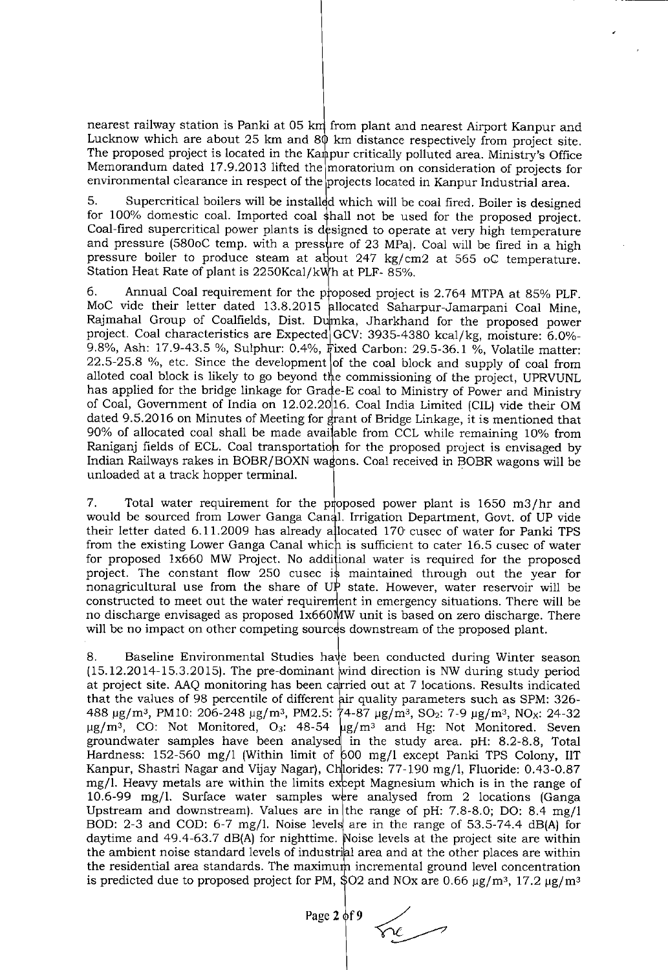nearest railway station is Panki at 05 knj from plant and nearest Airport Kanpur and Lucknow which are about 25 km and 8 $\phi$  km distance respectively from project site. The proposed project is located in the Ka $\frac{1}{n}$ pur critically polluted area. Ministry's Office Memorandum dated 17.9.2013 lifted the moratorium on consideration of projects for environmental clearance in respect of the projects located in Kanpur Industrial area.

5. Supercritical boilers will be installed which will be coal fired. Boiler is designed for 100% domestic coal. Imported coal shall not be used for the proposed project. Coal-fired supercritical power plants is designed to operate at very high temperature and pressure (580oC temp. with a pressure of 23 MPa). Coal will be fired in a high pressure boiler to produce steam at about 247 kg/cm2 at 565 oC temperature. Station Heat Rate of plant is 2250Kcal/kWh at PLF- 85%.

6. Annual Coal requirement for the proposed project is 2.764 MTPA at 85% PLF. MoC vide their letter dated 13.8.2015 allocated Saharpur-Jamarpani Coal Mine, Rajmahal Group of Coalfields, Dist. Dumka, Jharkhand for the proposed power project. Coal characteristics are Expected GCV: 3935-4380 kcal/kg, moisture: 6.0%-9.8%, Ash: 17.9-43.5 %, Sulphur: 0.4%, *fixed Carbon: 29.5-36.1 %, Volatile matter*: 22.5-25.8 %, etc. Since the development of the coal block and supply of coal from alloted coal block is likely to go beyond the commissioning of the project, UPRVUNL has applied for the bridge linkage for Grade-E coal to Ministry of Power and Ministry of Coal, Government of India on 12.02.20 16. Coal India Limited (CIL) vide their OM dated 9.5.2016 on Minutes of Meeting for grant of Bridge Linkage, it is mentioned that 90% of allocated coal shall be made available from CCL while remaining  $10\%$  from Raniganj fields of ECL. Coal transportation for the proposed project is envisaged by Indian Railways rakes in BOBR/BOXN wagons. Coal received in BOBR wagons will be unloaded at a track hopper terminal.

7. Total water requirement for the proposed power plant is  $1650 \text{ m3/hr}$  and would be sourced from Lower Ganga Canal. Irrigation Department, Govt. of UP vide their letter dated  $6.11.2009$  has already allocated 170 cusec of water for Panki TPS from the existing Lower Ganga Canal which is sufficient to cater 16.5 cusec of water for proposed 1x660 MW Project. No additional water is required for the proposed project. The constant flow 250 cusec is maintained through out the year for nonagricultural use from the share of  $U^{\phi}$  state. However, water reservoir will be constructed to meet out the water requirement in emergency situations. There will be no discharge envisaged as proposed  $1x660\text{\texttt{MW}}$  unit is based on zero discharge. There will be no impact on other competing sources downstream of the proposed plant.

8. Baseline Environmental Studies have been conducted during Winter season  $(15.12.2014-15.3.2015)$ . The pre-dominant wind direction is NW during study period at project site. AAQ monitoring has been carried out at 7 locations. Results indicated that the values of 98 percentile of different air quality parameters such as SPM: 326-488 μg/m<sup>3</sup>, PM10: 206-248 μg/m<sup>3</sup>, PM2.5: 74-87 μg/m<sup>3</sup>, SO<sub>2</sub>: 7-9 μg/m<sup>3</sup>, NO<sub>x</sub>: 24-32  $\mu$ g/m<sup>3</sup>, CO: Not Monitored, O<sub>3</sub>: 48-54  $\mu$ g/m<sup>3</sup> and Hg: Not Monitored. Seven groundwater samples have been analysed in the study area.  $pH: 8.2-8.8$ , Total Hardness: 152-560 mg/l (Within limit of 600 mg/l except Panki TPS Colony, IIT Kanpur, Shastri Nagar and Vijay Nagar), Chlorides: 77-190 mg/l, Fluoride: 0.43-0.87 mg/l. Heavy metals are within the limits except Magnesium which is in the range of 10.6-99 mg/l. Surface water samples were analysed from 2 locations (Ganga Upstream and downstream). Values are in the range of pH: 7.8-8.0; DO: 8.4 mg/l BOD: 2-3 and COD: 6-7 mg/l. Noise levels are in the range of  $53.5-74.4$  dB(A) for daytime and  $49.4$ -63.7 dB(A) for nighttime. Noise levels at the project site are within the ambient noise standard levels of industrial area and at the other places are within the residential area standards. The maximuip incremental ground level concentration is predicted due to proposed project for PM,  $\text{\$O2}$  and NOx are 0.66  $\mu$ g/m<sup>3</sup>, 17.2  $\mu$ g/m<sup>3</sup>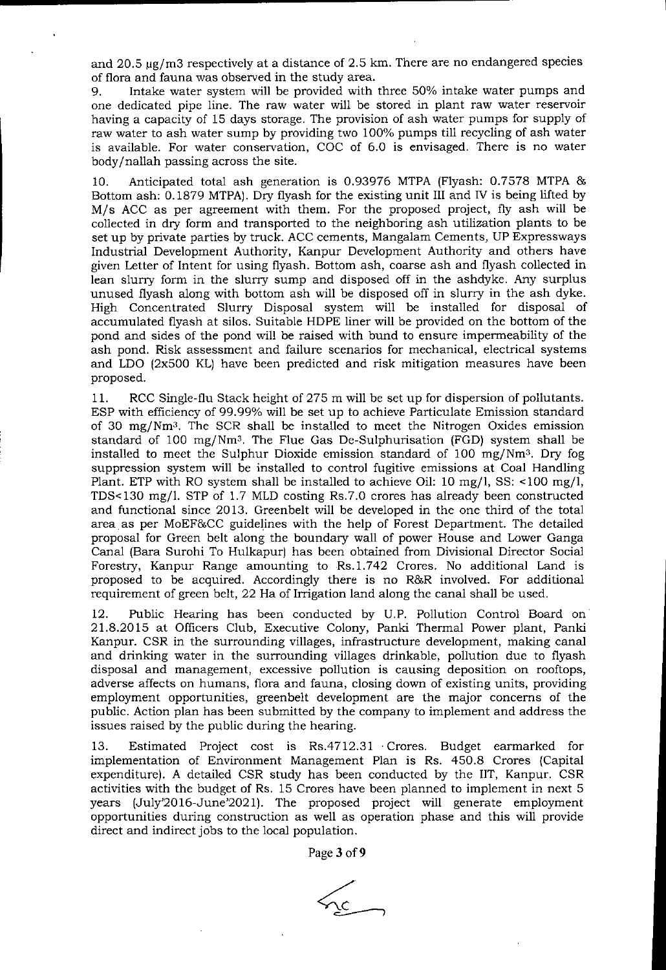and 20.5 µg/m3 respectively at a distance of 2.5 km. There are no endangered species of flora and fauna was observed in the study area.

Intake water system will be provided with three 50% intake water pumps and 9. one dedicated pipe line. The raw water will be stored in plant raw water reservoir having a capacity of 15 days storage. The provision of ash water pumps for supply of raw water to ash water sump by providing two 100% pumps till recycling of ash water is available. For water conservation, COC of 6.0 is envisaged. There is no water body/nallah passing across the site.

Anticipated total ash generation is 0.93976 MTPA (Flyash: 0.7578 MTPA & 10. Bottom ash: 0.1879 MTPA). Dry flyash for the existing unit III and IV is being lifted by M/s ACC as per agreement with them. For the proposed project, fly ash will be collected in dry form and transported to the neighboring ash utilization plants to be set up by private parties by truck. ACC cements, Mangalam Cements, UP Expressways Industrial Development Authority, Kanpur Development Authority and others have given Letter of Intent for using flyash. Bottom ash, coarse ash and flyash collected in lean slurry form in the slurry sump and disposed off in the ashdyke. Any surplus unused flyash along with bottom ash will be disposed off in slurry in the ash dyke. High Concentrated Slurry Disposal system will be installed for disposal of accumulated flyash at silos. Suitable HDPE liner will be provided on the bottom of the pond and sides of the pond will be raised with bund to ensure impermeability of the ash pond. Risk assessment and failure scenarios for mechanical, electrical systems and LDO (2x500 KL) have been predicted and risk mitigation measures have been proposed.

RCC Single-flu Stack height of 275 m will be set up for dispersion of pollutants.  $11.$ ESP with efficiency of 99.99% will be set up to achieve Particulate Emission standard of 30 mg/Nm3. The 5CR shall be installed to meet the Nitrogen Oxides emission standard of 100 mg/Nm<sup>3</sup>. The Flue Gas De-Sulphurisation (FGD) system shall be installed to meet the Sulphur Dioxide emission standard of 100 mg/Nm3. Dry fog suppression system will be installed to control fugitive emissions at Coal Handling Plant. ETP with RO system shall be installed to achieve Oil: 10 mg/l, SS:  $\lt 100$  mg/l, TDSc 130 mg/l. STP of 1.7 MLD costing Rs.7.0 crores has already been constructed and functional since 2013. Greenbelt will be developed in the one third of the total area, as per MoEF&CC guidelines with the help of Forest Department. The detailed proposal for Green belt along the boundary wall of power House and Lower Ganga Canal (Bara Surohi To Hulkapur) has been obtained from Divisional Director Social Forestry, Kanpur Range amounting to Rs.1.742 Crores. No additional Land is proposed to be acquired. Accordingly there is no R&R involved. For additional requirement of green belt, 22 Ha of Irrigation land along the canal shall be used.

Public Hearing has been conducted by U.P. Pollution Control Board on 12. 21.8.2015 at Officers Club, Executive Colony, Panki Thermal Power plant, Panki Kanpur. CSR in the surrounding villages, infrastructure development, making canal and drinking water in the surrounding villages drinkable, pollution due to flyash disposal and management, excessive pollution is causing deposition on rooftops, adverse affects on humans, flora and fauna, closing down of existing units, providing employment opportunities, greenbelt development are the major concerns of the public. Action plan has been submitted by the company to implement and address the issues raised by the public during the hearing.

Estimated Project cost is Rs.4712.31 Crores. Budget earmarked for 13. implementation of Environment Management Plan is Rs. 450.8 Crores (Capital expenditure). A detailed CSR study has been conducted by the lIT, Kanpur. CSR activities with the budget of Rs. 15 Crores have been planned to implement in next 5 years (July'2016-June'2021). The proposed project will generate employment opportunities during construction as well as operation phase and this will provide direct and indirect jobs to the local population.

Page 3 of 9

 $\measuredangle$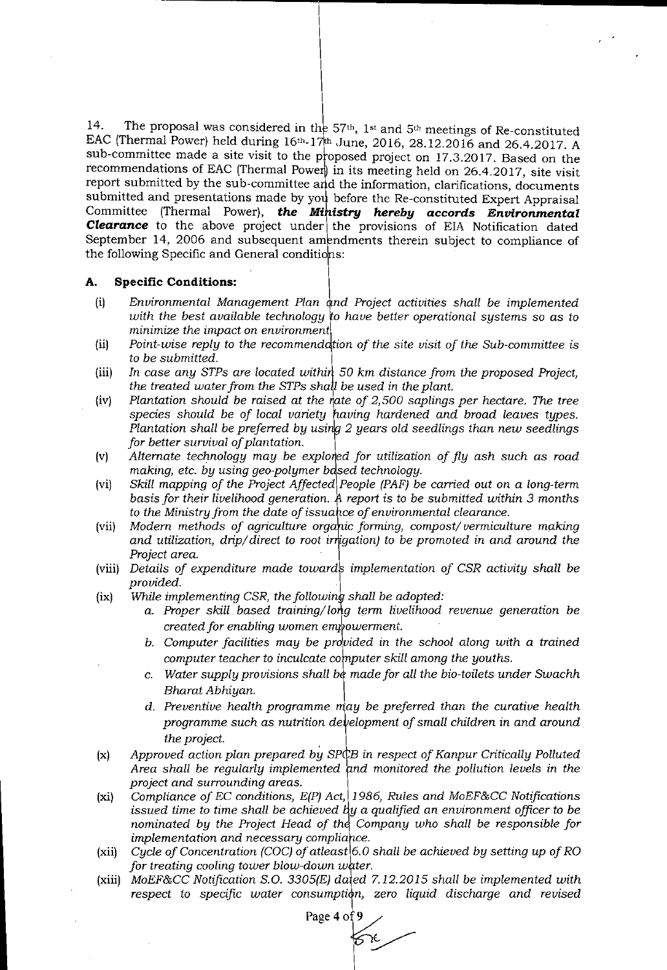14. The proposal was considered in the 57<sup>th</sup>, 1<sup>st</sup> and 5<sup>th</sup> meetings of Re-constituted EAC (Thermal Power) held during  $16<sup>th</sup>$ -17<sup>th</sup> June, 2016, 28.12.2016 and 26.4.2017. A sub-committee made a site visit to the proposed project on  $17.3.2017$ . Based on the recommendations of EAC (Thermal Power) in its meeting held on  $26.4.2017$ , site visit report submitted by the sub-committee and the information, clarifications, documents submitted and presentations made by you before the Re-constituted Expert Appraisal Committee (Thermal Power), the Ministry hereby accords Environmental **Clearance** to the above project under the provisions of EIA Notification dated September 14, 2006 and subsequent amendments therein subject to compliance of the following Specific and General conditions:

## A. **Specific Conditions:**

- (i) *Environmental Management Plan nd Project activities shall be implemented with the best available technology to have better operational systems so as to minimize the impact on environment*
- *(ii) Point-wise reply to the recommend tion of the site visit of the Sub-committee is to be submitted.*
- (iii) In case any STPs are located within 50 km distance from the proposed Project, *the treated water from the STPs shall be used in the plant.*
- *(iv) Plantation should be raised at the rate of 2,500 saplings per hectare. The tree* species should be of local variety having hardened and broad leaves types. *Plantation shall be preferred by using 2 years old seedlings than new seedlings for better survival of plantation.*
- (v) Alternate technology may be explored for utilization of fly ash such as road  $making, etc. by using geo-polymer bdsed technology.$
- *(vi) Skill mapping of the Project Affected People (PAP') be carried out on a long-term basis for their livelihood generation.* A report is to be submitted within 3 months to the Ministry from the date of issuance of environmental clearance.
- (vii) Modern methods of agriculture organic forming, compost/vermiculture making *and utilization, drip/direct to root irrigation) to be promoted in and around the Project area.*
- *(viii) Details of expenditure made towards implementation of CSR activity shall be provided.*
- (ix) While implementing CSR, the following shall be adopted:
	- a. Proper skill based training/long term livelihood revenue generation be *created for enabling women empowerment.*
	- b. Computer facilities may be provided in the school along with a trained *computer teacher to inculcate computer skill among the youths.*
	- c. Water supply provisions shall be made for all the bio-toilets under Swachh *Rharat Abhiyan.*
	- *Preventive health programme ay be preferred than the curative health programme such as nutrition development of small children in and around the project.*
- *(x) Approved action plan prepared by SP B in respect of Kanpur Critically Polluted Area shall be regularly implemented nd monitored the pollution levels in the project and surrounding areas.*
- (xi) Compliance of EC conditions, E(P) Act, 1986, Rules and MoEF&CC Notifications *issued time to time shall be achieved by a qualified an environment officer to be nominated by the Project Head of the Company who shall be responsible for implementation and necessary compliance.*
- *(xii) Cycle of Concentration (COC) of atleast 6.0 shall be achieved by setting up of RO for treating cooling tower blow-down water.*
- *(xiii) MoEF&CC Notification S.O. 3305(E) da ed 7.12.2015 shall be implemented with respect to specific water consumption, zero liquid discharge and revised*

 $\frac{1 \text{su}_{11}}{\text{Page 4 of 9}}$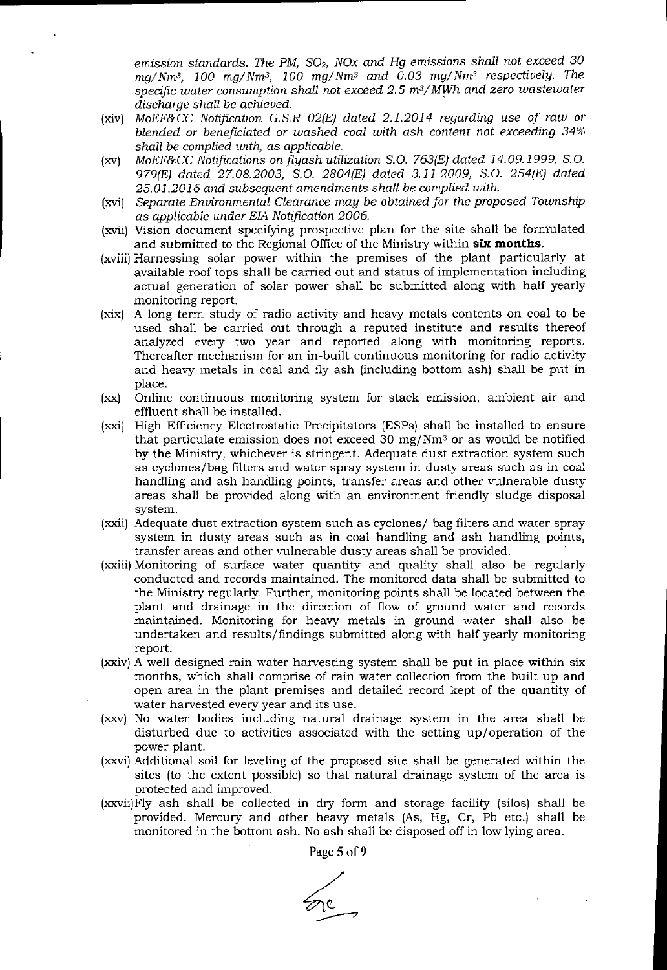*emission standards. The PM, SO2, NOx and Hg emissions shall not exceed 30*   $mg/Nm^3$ , 100 mg/Nm<sup>3</sup>, 100 mg/Nm<sup>3</sup> and 0.03 mg/Nm<sup>3</sup> respectively. The *specific water consumption shall not exceed 2.5 m3/MWh and zero wastewater discharge shall be achieved.* 

- *MoEF&CC Notification G. S.R 02(E) dated 2.1.2014 regarding use of raw or blended or beneficiated or washed coal with ash content not exceeding 34% shall be complied with, as applicable.*
- *MoEF&CC Notifications on flyash utilization S.O. 763(E) dated 14.09.1999, S.O.*   $(xv)$ *979(E) dated 27.08.2003, S.O. 2804(E) dated 3.11.2009, S.O. 254(E) dated 25.01.2016 and subsequent amendments shall be complied with.*
- *Separate Environmental Clearance may be obtained for the proposed Township as applicable under EM Notification 2006.*
- Vision document specifying prospective plan for the site shall be formulated and submitted to the Regional Office of the Ministry within **six** months.
- Harnessing solar power within the premises of the plant particularly at available roof tops shall be carried out and status of implementation including actual generation of solar power shall be submitted along with half yearly monitoring report.
- A long term study of radio activity and heavy metals contents on coal to be used shall be carried out through a reputed institute and results thereof analyzed every two year and reported along with monitoring reports. Thereafter mechanism for an in-built continuous monitoring for radio activity and heavy metals in coal and fly ash (including bottom ash) shall be put in place.
- Online continuous monitoring system for stack emission, ambient air and  $\mathbf{[XX]}$ effluent shall be installed.
- High Efficiency Electrostatic Precipitators (ESPs) shall be installed to ensure that particulate emission does not exceed 30 mg/ $Nm^3$  or as would be notified by the Ministry, whichever is stringent. Adequate dust extraction system such as cyclones/bag filters and water spray system in dusty areas such as in coal handling and ash handling points, transfer areas and other vulnerable dusty areas shall be provided along with an environment friendly sludge disposal system.
- Adequate dust extraction system such as cyclones/ bag filters and water spray system in dusty areas such as in coal handling and ash handling points, transfer areas and other vulnerable dusty areas shall be provided. -
- Monitoring of surface water quantity and quality shall also be regularly conducted and records maintained. The monitored data shall be submitted to the Ministry regularly. Further, monitoring points shall be located between the plant and drainage in the direction of flow of ground water and records maintained. Monitoring for heavy metals in ground water shall also be undertaken and results/findings submitted along with half yearly monitoring report.
- A well designed rain water harvesting system shall be put in place within six months, which shall comprise of rain water collection from the built up and open area in the plant premises and detailed record kept of the quantity of water harvested every year and its use.
- (xxv) No water bodies including natural drainage system in the area shall be disturbed due to activities associated with the setting up/operation of the power plant.
- Additional soil for leveling of the proposed site shall be generated within the sites (to the extent possible) so that natural drainage system of the area is protected and improved.
- (xxvii)Fly ash shall be collected in dry form and storage facility (silos) shall be provided. Mercury and other heavy metals (As, Hg, Cr, Pb etc.) shall be monitored in the bottom ash. No ash shall be disposed off in low lying area.

Page 5 of 9

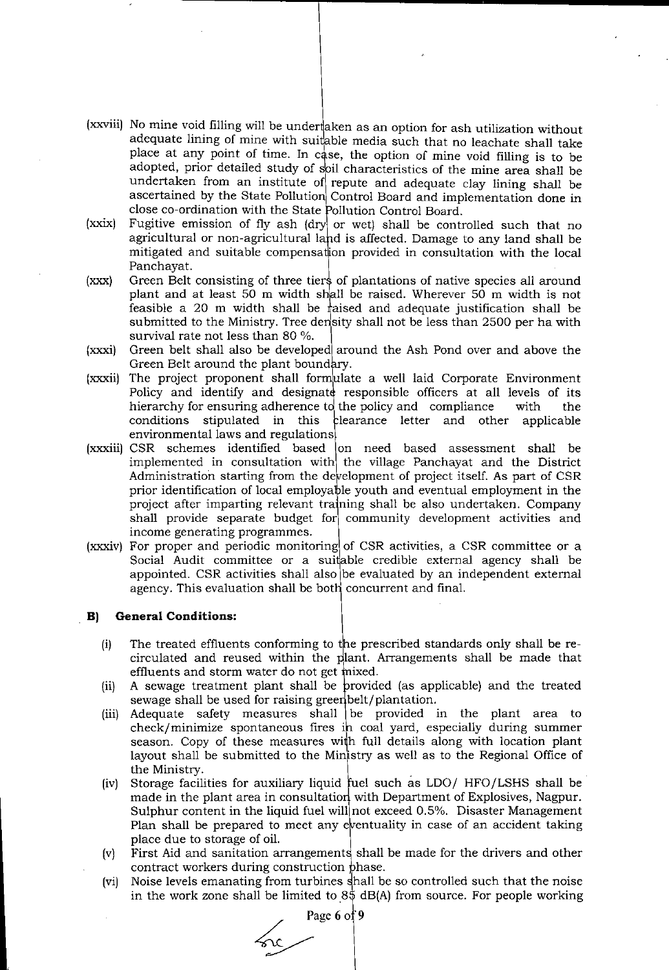- (xxviii) No mine void filling will be under aken as an option for ash utilization without adequate lining of mine with suitable media such that no leachate shall take place at any point of time. In case, the option of mine void filling is to be adopted, prior detailed study of soil characteristics of the mine area shall be undertaken from an institute of repute and adequate clay lining shall be ascertained by the State Pollution Control Board and implementation done in close co-ordination with the State Pollution Control Board.
- $(xxix)$ Fugitive emission of fly ash (dry or wet) shall be controlled such that no agricultural or non-agricultural land is affected. Damage to any land shall be mitigated and suitable compensation provided in consultation with the local Panchayat.
- Green Belt consisting of three tiers of plantations of native species all around  $(XXX)$ plant and at least 50 m width shall be raised. Wherever 50 m width is not feasible a 20 m width shall be raised and adequate justification shall be submitted to the Ministry. Tree density shall not be less than 2500 per ha with survival rate not less than 80 %.
- Green belt shall also be developed around the Ash Pond over and above the  $(xxxi)$ Green Belt around the plant boundary.
- (xxxii) The project proponent shall form ulate a well laid Corporate Environment Policy and identify and designate responsible officers at all levels of its hierarchy for ensuring adherence to the policy and compliance with the conditions stipulated in this learance letter and other applicable environmental laws and regulations
- (xxxiii) CSR schemes identified based on need based assessment shall be implemented in consultation with the village Panchayat and the District Administration starting from the development of project itself. As part of CSR prior identification of local employable youth and eventual employment in the project after imparting relevant training shall be also undertaken. Company shall provide separate budget for community development activities and income generating programmes.
- (xxxiv) For proper and periodic monitoring of CSR activities, a CSR committee or a Social Audit committee or a suitable credible external agency shall be appointed. CSR activities shall also be evaluated by an independent external agency. This evaluation shall be both concurrent and final.

## **B) General Conditions:**

- The treated effluents conforming to the prescribed standards only shall be re- $(i)$ circulated and reused within the plant. Arrangements shall be made that effluents and storm water do not get
- $(ii)$ A sewage treatment plant shall be provided (as applicable) and the treated sewage shall be used for raising greenbelt/plantation.
- $(iii)$ Adequate safety measures shall be provided in the plant area to check/minimize spontaneous fires in coal yard, especially during summer season. Copy of these measures with full details along with location plant layout shall be submitted to the Ministry as well as to the Regional Office of the Ministry.
- Storage facilities for auxiliary liquid fuel such as  $LDO/$  HFO/LSHS shall be  $(iv)$ made in the plant area in consultation with Department of Explosives, Nagpur. Sulphur content in the liquid fuel will not exceed 0.5%. Disaster Management Plan shall be prepared to meet any eventuality in case of an accident taking place due to storage of oil.
- $[v]$ First Aid and sanitation arrangements shall be made for the drivers and other contract workers during construction
- Noise levels emanating from turbines shall be so controlled such that the noise (vi) in the work zone shall be limited to  $8\frac{1}{9}$  dB(A) from source. For people working

Page 6 of 9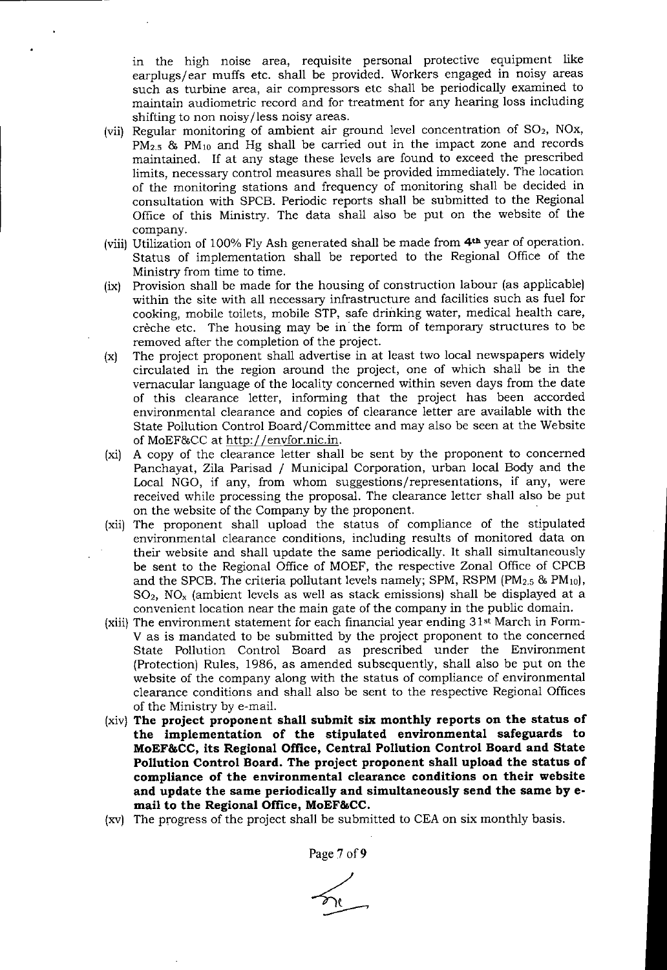in the high noise area, requisite personal protective equipment like earplugs/ear muffs etc. shall be provided. Workers engaged in noisy areas such as turbine area, air compressors etc shall be periodically examined to maintain audiometric record and for treatment for any hearing loss including shifting to non noisy/less noisy areas.

- (vii) Regular monitoring of ambient air ground level concentration of  $SO_2$ , NOx,  $PM_{2.5}$  & PM<sub>10</sub> and Hg shall be carried out in the impact zone and records maintained. If at any stage these levels are found to exceed the prescribed limits, necessary control measures shall be provided immediately. The location of the monitoring stations and frequency of monitoring shall be decided in consultation with SPCB. Periodic reports shall be submitted to the Regional Office of this Ministry. The data shall also be put on the website of the company.
- Utilization of 100% Fly Ash generated shall be made from **4th** year of operation. Status of implementation shall be reported to the Regional Office of the Ministry from time to time.
- Provision shall be made for the housing of construction labour (as applicable)  $(ix)$ within the site with all necessary infrastructure and facilities such as fuel for cooking, mobile toilets, mobile STP, safe drinking water, medical health care, crèche etc. The housing may be in the form of temporary structures to be removed after the completion of the project.
- The project proponent shall advertise in at least two local newspapers widely  $(x)$ circulated in the region around the project, one of which shall be in the vernacular language of the locality concerned within seven days from the date of this clearance letter, informing that the project has been accorded environmental clearance and copies of clearance letter are available with the State Pollution Control Board/Committee and may also be seen at the Website of MoEF&CC at http://envfor.nic.in.
- A copy of the clearance letter shall be sent by the proponent to concerned Panchayat, Zila Parisad / Municipal Corporation, urban local Body and the Local NQO, if any, from whom suggestions/representations, if any, were received while processing the proposal. The clearance letter shall also be put on the website of the Company by the proponent.
- The proponent shall upload the status of compliance of the stipulated environmental clearance conditions, including results of monitored data on their website and shall update the same periodically. It shall simultaneously be sent to the Regional Office of MOEF, the respective Zonal Office of CPCB and the SPCB. The criteria pollutant levels namely; SPM, RSPM ( $PM_{2.5}$  &  $PM_{10}$ ),  $SO<sub>2</sub>$ , NO<sub>x</sub> (ambient levels as well as stack emissions) shall be displayed at a convenient location near the main gate of the company in the public domain.
- (xiii) The environment statement for each financial year ending  $31$ <sup>st</sup> March in Form-V as is mandated to be submitted by the project proponent to the concerned State Pollution Control Board as prescribed under the Environment (Protection) Rules, 1986, as amended subsequently, shall also be put on the website of the company along with the status of compliance of environmental clearance conditions and shall also be sent to the respective Regional Offices of the Ministry by e-mail.
- **The project proponent shall submit six monthly reports on the status of the implementation of the stipulated environmental safeguards to MoEF&CC, its Regional Office, Central Pollution Control Board and State Pollution Control Board. The project proponent shall upload the status of compliance of the environmental clearance conditions on their website and update the same periodically and simultaneously send the same by email to the Regional Office, MoEF&CC.**
- (xv) The progress of the project shall be submitted to CEA on six monthly basis.



Page 7 of 9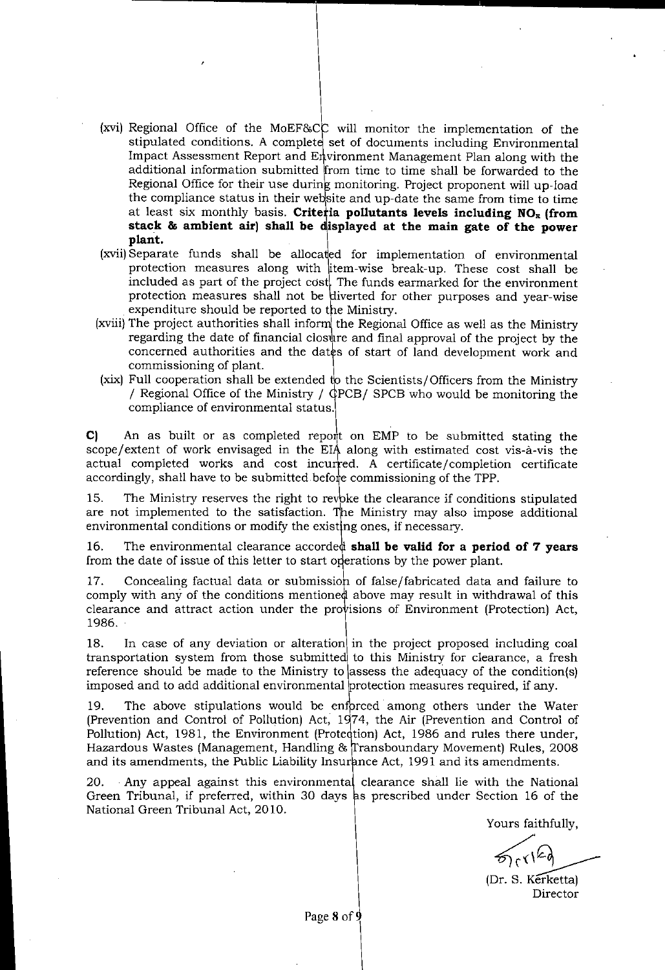- (xvi) Regional Office of the MoEF&CC will monitor the implementation of the stipulated conditions. A complete set of documents including Environmental Impact Assessment Report and Environment Management Plan along with the additional information submitted from time to time shall be forwarded to the Regional Office for their use during monitoring. Project proponent will up-load the compliance status in their website and up-date the same from time to time at least six monthly basis. **Criteria pollutants levels including NO<sub>x</sub>** (from stack & ambient air) shall be displayed at the main gate of the power **plant.**
- -<br>Separate funds shall be allocated for implementation of environmental protection measures along with item-wise break-up. These cost shall be included as part of the project cost. The funds earmarked for the environment protection measures shall not be diverted for other purposes and year-wise expenditure should be reported to the Ministry.
- The project authorities shall inform the Regional Office as well as the Ministry regarding the date of financial closure and final approval of the project by the concerned authorities and the dates of start of land development work and commissioning of plant.
- Full cooperation shall be extended to the Scientists/Officers from the Ministry / Regional Office of the Ministry / CPCB/ SPCB who would be monitoring the compliance of environmental status.

C) An as built or as completed report on EMP to be submitted stating the scope/extent of work envisaged in the  $EIA$  along with estimated cost vis-à-vis the actual completed works and cost incurred. A certificate/completion certificate accordingly, shall have to be submitted before commissioning of the TPP.

The Ministry reserves the right to revoke the clearance if conditions stipulated 15. are not implemented to the satisfaction. The Ministry may also impose additional environmental conditions or modify the existing ones, if necessary.

The environmental clearance accorded **shall be valid for a period of 7 years** 16. from the date of issue of this letter to start operations by the power plant.

Concealing factual data or submission of false/fabricated data and failure to 17. comply with any of the conditions mentioned above may result in withdrawal of this clearance and attract action under the provisions of Environment (Protection) Act, 1986.

18. In case of any deviation or alteration in the project proposed including coal transportation system from those submitted to this Ministry for clearance, a fresh reference should be made to the Ministry to assess the adequacy of the condition(s) imposed and to add additional environmental protection measures required, if any.

19. The above stipulations would be enfpreed among others under the Water (Prevention and Control of Pollution) Act,  $1974$ , the Air (Prevention and Control of Pollution) Act, 1981, the Environment (Protedtion) Act, 1986 and rules there under, Hazardous Wastes (Management, Handling & Transboundary Movement) Rules, 2008 and its amendments, the Public Liability Insurance Act, 1991 and its amendments.

Any appeal against this environmental clearance shall lie with the National Green Tribunal, if preferred, within 30 days as prescribed under Section 16 of the National Green Tribunal Act, 2010.

Yours faithfully,

 $\mathcal{D}_{\mathsf{r}}$ 

(Dr. S. Kerketta) Director